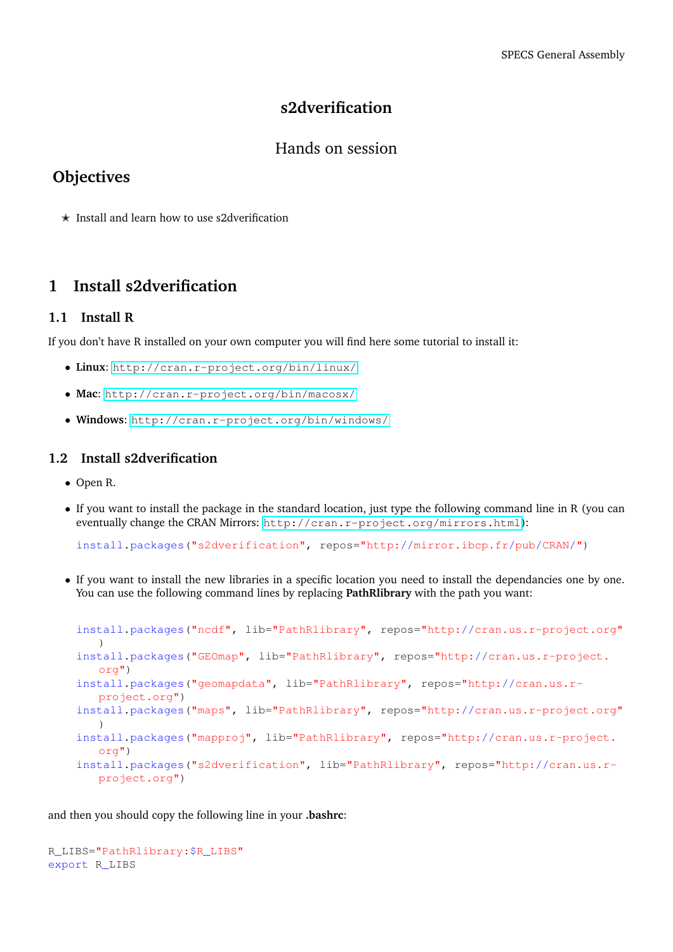## **s2dverification**

#### Hands on session

## **Objectives**

 $\star$  Install and learn how to use s2dverification

## **1 Install s2dverification**

#### **1.1 Install R**

If you don't have R installed on your own computer you will find here some tutorial to install it:

- **Linux**: <http://cran.r-project.org/bin/linux/>
- **Mac**: <http://cran.r-project.org/bin/macosx/>
- **Windows**: <http://cran.r-project.org/bin/windows/>

#### **1.2 Install s2dverification**

- Open R.
- If you want to install the package in the standard location, just type the following command line in R (you can eventually change the CRAN Mirrors: <http://cran.r-project.org/mirrors.html>):

install.packages("s2dverification", repos="http://mirror.ibcp.fr/pub/CRAN/")

• If you want to install the new libraries in a specific location you need to install the dependancies one by one. You can use the following command lines by replacing **PathRlibrary** with the path you want:

```
install.packages("ncdf", lib="PathRlibrary", repos="http://cran.us.r-project.org"
  \rightarrowinstall.packages("GEOmap", lib="PathRlibrary", repos="http://cran.us.r-project.
  org")
install.packages("geomapdata", lib="PathRlibrary", repos="http://cran.us.r-
   project.org")
install.packages("maps", lib="PathRlibrary", repos="http://cran.us.r-project.org"
   )
install.packages("mapproj", lib="PathRlibrary", repos="http://cran.us.r-project.
   org")
install.packages("s2dverification", lib="PathRlibrary", repos="http://cran.us.r-
   project.org")
```
and then you should copy the following line in your **.bashrc**:

R\_LIBS="PathRlibrary:\$R\_LIBS" export R\_LIBS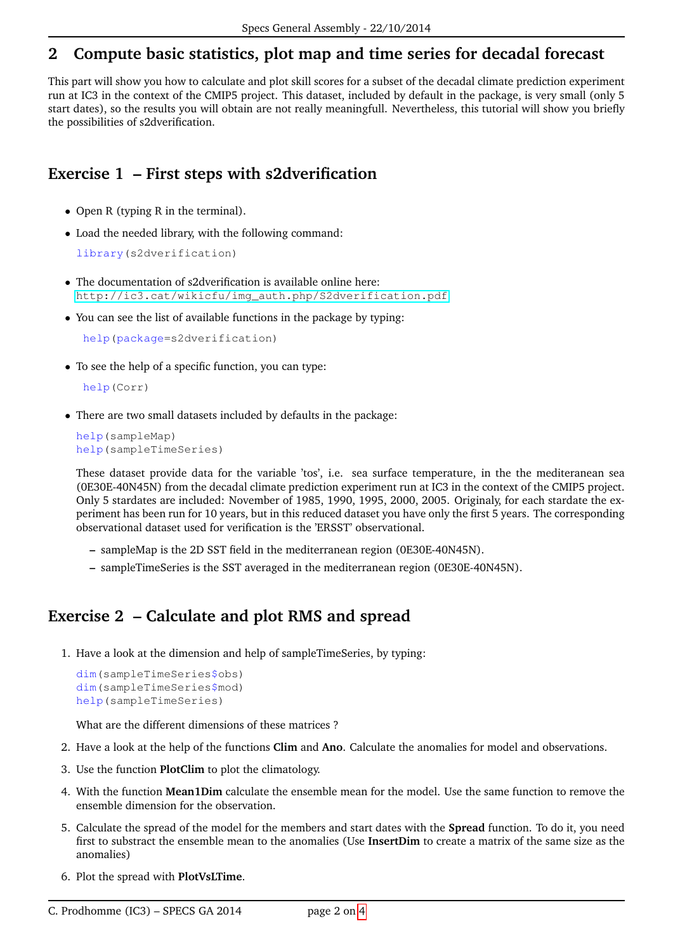# **2 Compute basic statistics, plot map and time series for decadal forecast**

This part will show you how to calculate and plot skill scores for a subset of the decadal climate prediction experiment run at IC3 in the context of the CMIP5 project. This dataset, included by default in the package, is very small (only 5 start dates), so the results you will obtain are not really meaningfull. Nevertheless, this tutorial will show you briefly the possibilities of s2dverification.

# **Exercise 1 – First steps with s2dverification**

- Open R (typing R in the terminal).
- Load the needed library, with the following command:

library(s2dverification)

- The documentation of s2dverification is available online here: [http://ic3.cat/wikicfu/img\\_auth.php/S2dverification.pdf](http://ic3.cat/wikicfu/img_auth.php/S2dverification.pdf)
- You can see the list of available functions in the package by typing:

help(package=s2dverification)

• To see the help of a specific function, you can type:

```
help(Corr)
```
• There are two small datasets included by defaults in the package:

```
help(sampleMap)
help(sampleTimeSeries)
```
These dataset provide data for the variable 'tos', i.e. sea surface temperature, in the the mediteranean sea (0E30E-40N45N) from the decadal climate prediction experiment run at IC3 in the context of the CMIP5 project. Only 5 stardates are included: November of 1985, 1990, 1995, 2000, 2005. Originaly, for each stardate the experiment has been run for 10 years, but in this reduced dataset you have only the first 5 years. The corresponding observational dataset used for verification is the 'ERSST' observational.

- **–** sampleMap is the 2D SST field in the mediterranean region (0E30E-40N45N).
- **–** sampleTimeSeries is the SST averaged in the mediterranean region (0E30E-40N45N).

## **Exercise 2 – Calculate and plot RMS and spread**

1. Have a look at the dimension and help of sampleTimeSeries, by typing:

```
dim(sampleTimeSeries$obs)
dim(sampleTimeSeries$mod)
help(sampleTimeSeries)
```
What are the different dimensions of these matrices ?

- 2. Have a look at the help of the functions **Clim** and **Ano**. Calculate the anomalies for model and observations.
- 3. Use the function **PlotClim** to plot the climatology.
- 4. With the function **Mean1Dim** calculate the ensemble mean for the model. Use the same function to remove the ensemble dimension for the observation.
- 5. Calculate the spread of the model for the members and start dates with the **Spread** function. To do it, you need first to substract the ensemble mean to the anomalies (Use **InsertDim** to create a matrix of the same size as the anomalies)
- 6. Plot the spread with **PlotVsLTime**.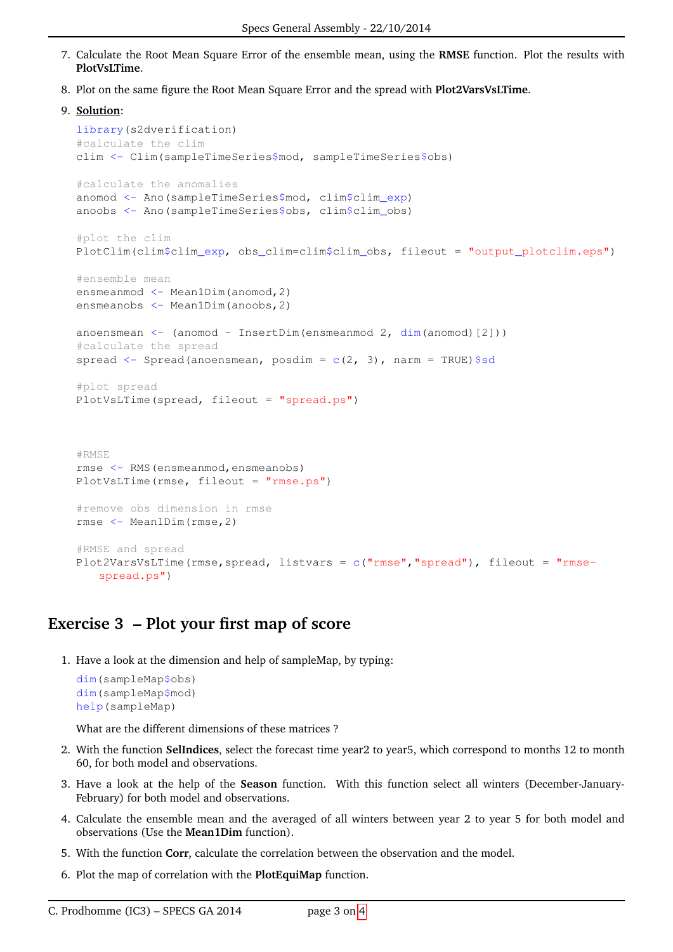- 7. Calculate the Root Mean Square Error of the ensemble mean, using the **RMSE** function. Plot the results with **PlotVsLTime**.
- 8. Plot on the same figure the Root Mean Square Error and the spread with **Plot2VarsVsLTime**.

```
9. Solution:
```

```
library(s2dverification)
#calculate the clim
clim <- Clim(sampleTimeSeries$mod, sampleTimeSeries$obs)
#calculate the anomalies
anomod <- Ano(sampleTimeSeries$mod, clim$clim_exp)
anoobs <- Ano(sampleTimeSeries$obs, clim$clim_obs)
#plot the clim
PlotClim(clim$clim_exp, obs_clim=clim$clim_obs, fileout = "output_plotclim.eps")
#ensemble mean
ensmeanmod <- Mean1Dim(anomod, 2)
ensmeanobs <- Mean1Dim(anoobs, 2)
anoensmean \leq (anomod - InsertDim(ensmeanmod 2, dim(anomod)[2]))
#calculate the spread
spread \leq Spread(anoensmean, posdim = c(2, 3), narm = TRUE)$sd
#plot spread
PlotVsLTime(spread, fileout = "spread.ps")
#RMSE
rmse <- RMS(ensmeanmod,ensmeanobs)
PlotVsLTime(rmse, fileout = "rmse.ps")
#remove obs dimension in rmse
rmse <- Mean1Dim(rmse,2)
#RMSE and spread
Plot2VarsVsLTime(rmse,spread, listvars = c("rmse", "spread"), file out = "rmse-spread.ps")
```
## **Exercise 3 – Plot your first map of score**

1. Have a look at the dimension and help of sampleMap, by typing:

```
dim(sampleMap$obs)
dim(sampleMap$mod)
help(sampleMap)
```
What are the different dimensions of these matrices ?

- 2. With the function **SelIndices**, select the forecast time year2 to year5, which correspond to months 12 to month 60, for both model and observations.
- 3. Have a look at the help of the **Season** function. With this function select all winters (December-January-February) for both model and observations.
- 4. Calculate the ensemble mean and the averaged of all winters between year 2 to year 5 for both model and observations (Use the **Mean1Dim** function).
- 5. With the function **Corr**, calculate the correlation between the observation and the model.
- 6. Plot the map of correlation with the **PlotEquiMap** function.